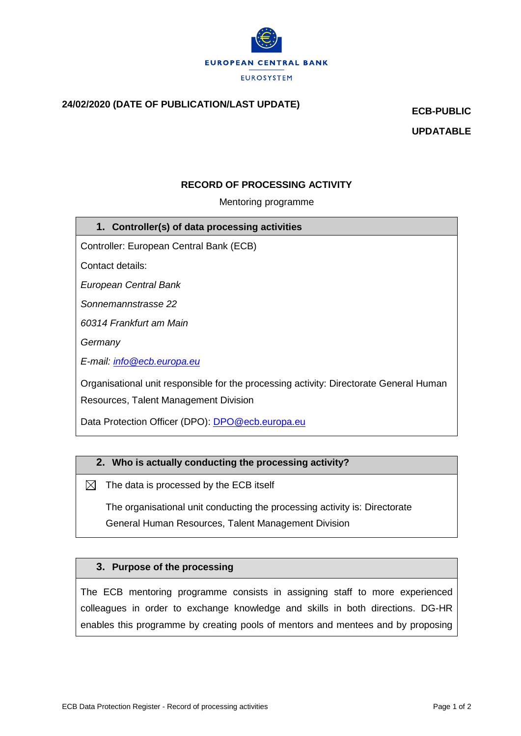

# **24/02/2020 (DATE OF PUBLICATION/LAST UPDATE) ECB-PUBLIC**

**UPDATABLE**

## **RECORD OF PROCESSING ACTIVITY**

#### Mentoring programme

#### **1. Controller(s) of data processing activities**

Controller: European Central Bank (ECB)

Contact details:

*European Central Bank*

*Sonnemannstrasse 22*

*60314 Frankfurt am Main*

*Germany*

*E-mail: [info@ecb.europa.eu](mailto:info@ecb.europa.eu)*

Organisational unit responsible for the processing activity: Directorate General Human Resources, Talent Management Division

Data Protection Officer (DPO): [DPO@ecb.europa.eu](mailto:DPO@ecb.europa.eu)

#### **2. Who is actually conducting the processing activity?**

 $\boxtimes$  The data is processed by the ECB itself

The organisational unit conducting the processing activity is: Directorate General Human Resources, Talent Management Division

#### **3. Purpose of the processing**

The ECB mentoring programme consists in assigning staff to more experienced colleagues in order to exchange knowledge and skills in both directions. DG-HR enables this programme by creating pools of mentors and mentees and by proposing